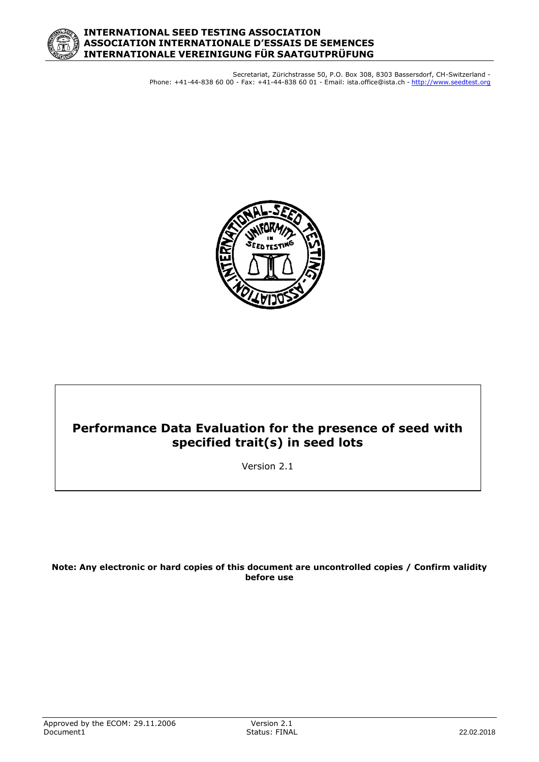

Secretariat, Zürichstrasse 50, P.O. Box 308, 8303 Bassersdorf, CH-Switzerland - Phone: +41-44-838 60 00 - Fax: +41-44-838 60 01 - Email: ista.office@ista.ch - http://www.seedtest.org



# **Performance Data Evaluation for the presence of seed with specified trait(s) in seed lots**

Version 2.1

**Note: Any electronic or hard copies of this document are uncontrolled copies / Confirm validity before use**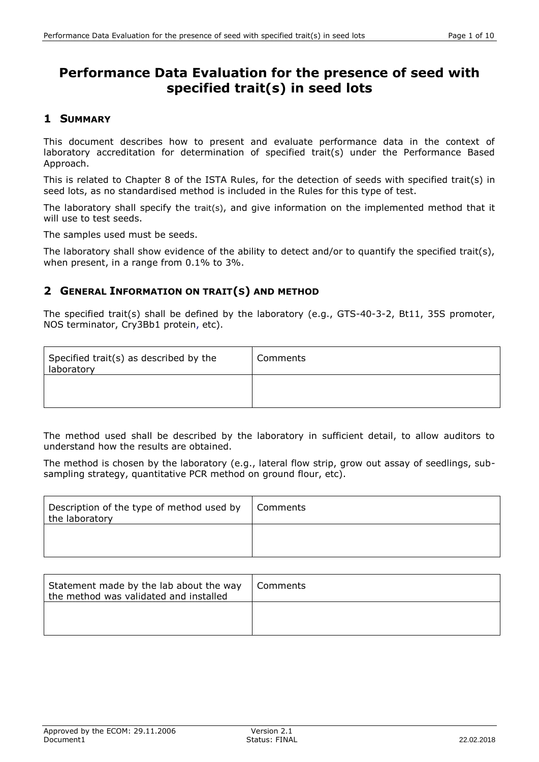# **Performance Data Evaluation for the presence of seed with specified trait(s) in seed lots**

## **1 SUMMARY**

This document describes how to present and evaluate performance data in the context of laboratory accreditation for determination of specified trait(s) under the Performance Based Approach.

This is related to Chapter 8 of the ISTA Rules, for the detection of seeds with specified trait(s) in seed lots, as no standardised method is included in the Rules for this type of test.

The laboratory shall specify the trait(s), and give information on the implemented method that it will use to test seeds.

The samples used must be seeds.

The laboratory shall show evidence of the ability to detect and/or to quantify the specified trait(s), when present, in a range from 0.1% to 3%.

## **2 GENERAL INFORMATION ON TRAIT(S) AND METHOD**

The specified trait(s) shall be defined by the laboratory (e.g., GTS-40-3-2, Bt11, 35S promoter, NOS terminator, Cry3Bb1 protein, etc).

| Specified trait(s) as described by the<br>laboratory | Comments |
|------------------------------------------------------|----------|
|                                                      |          |

The method used shall be described by the laboratory in sufficient detail, to allow auditors to understand how the results are obtained.

The method is chosen by the laboratory (e.g., lateral flow strip, grow out assay of seedlings, subsampling strategy, quantitative PCR method on ground flour, etc).

| Description of the type of method used by<br>the laboratory | Comments |
|-------------------------------------------------------------|----------|
|                                                             |          |

| Statement made by the lab about the way<br>the method was validated and installed | Comments |
|-----------------------------------------------------------------------------------|----------|
|                                                                                   |          |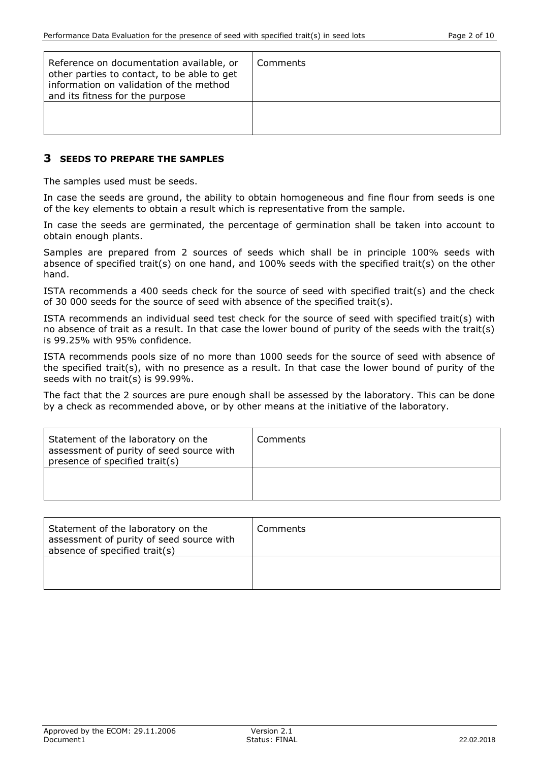| Reference on documentation available, or<br>other parties to contact, to be able to get<br>information on validation of the method<br>and its fitness for the purpose | Comments |
|-----------------------------------------------------------------------------------------------------------------------------------------------------------------------|----------|
|                                                                                                                                                                       |          |

#### **3 SEEDS TO PREPARE THE SAMPLES**

The samples used must be seeds.

In case the seeds are ground, the ability to obtain homogeneous and fine flour from seeds is one of the key elements to obtain a result which is representative from the sample.

In case the seeds are germinated, the percentage of germination shall be taken into account to obtain enough plants.

Samples are prepared from 2 sources of seeds which shall be in principle 100% seeds with absence of specified trait(s) on one hand, and 100% seeds with the specified trait(s) on the other hand.

ISTA recommends a 400 seeds check for the source of seed with specified trait(s) and the check of 30 000 seeds for the source of seed with absence of the specified trait(s).

ISTA recommends an individual seed test check for the source of seed with specified trait(s) with no absence of trait as a result. In that case the lower bound of purity of the seeds with the trait(s) is 99.25% with 95% confidence.

ISTA recommends pools size of no more than 1000 seeds for the source of seed with absence of the specified trait(s), with no presence as a result. In that case the lower bound of purity of the seeds with no trait(s) is 99.99%.

The fact that the 2 sources are pure enough shall be assessed by the laboratory. This can be done by a check as recommended above, or by other means at the initiative of the laboratory.

| Statement of the laboratory on the<br>assessment of purity of seed source with<br>presence of specified trait(s) | Comments |
|------------------------------------------------------------------------------------------------------------------|----------|
|                                                                                                                  |          |

| Statement of the laboratory on the<br>assessment of purity of seed source with<br>absence of specified trait(s) | <b>Comments</b> |
|-----------------------------------------------------------------------------------------------------------------|-----------------|
|                                                                                                                 |                 |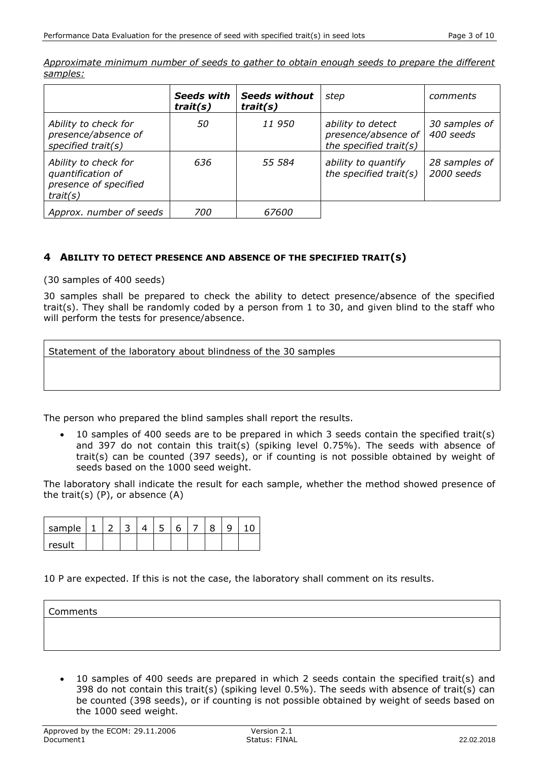*Approximate minimum number of seeds to gather to obtain enough seeds to prepare the different samples:*

|                                                                                | <b>Seeds with</b><br>trait(s) | <b>Seeds without</b><br>train(s) | step                                                               | comments                    |
|--------------------------------------------------------------------------------|-------------------------------|----------------------------------|--------------------------------------------------------------------|-----------------------------|
| Ability to check for<br>presence/absence of<br>specified $trait(s)$            | 50                            | 11 950                           | ability to detect<br>presence/absence of<br>the specified trait(s) | 30 samples of<br>400 seeds  |
| Ability to check for<br>quantification of<br>presence of specified<br>trait(s) | 636                           | 55 584                           | ability to quantify<br>the specified trait(s)                      | 28 samples of<br>2000 seeds |
| Approx. number of seeds                                                        | 700                           | 67600                            |                                                                    |                             |

#### **4 ABILITY TO DETECT PRESENCE AND ABSENCE OF THE SPECIFIED TRAIT(S)**

(30 samples of 400 seeds)

30 samples shall be prepared to check the ability to detect presence/absence of the specified trait(s). They shall be randomly coded by a person from 1 to 30, and given blind to the staff who will perform the tests for presence/absence.

|  |  |  | Statement of the laboratory about blindness of the 30 samples |
|--|--|--|---------------------------------------------------------------|
|  |  |  |                                                               |
|  |  |  |                                                               |

The person who prepared the blind samples shall report the results.

 10 samples of 400 seeds are to be prepared in which 3 seeds contain the specified trait(s) and 397 do not contain this trait(s) (spiking level 0.75%). The seeds with absence of trait(s) can be counted (397 seeds), or if counting is not possible obtained by weight of seeds based on the 1000 seed weight.

The laboratory shall indicate the result for each sample, whether the method showed presence of the trait(s) (P), or absence (A)

| sample |  |  |  |  |  |
|--------|--|--|--|--|--|
| result |  |  |  |  |  |

#### 10 P are expected. If this is not the case, the laboratory shall comment on its results.

#### Comments

 10 samples of 400 seeds are prepared in which 2 seeds contain the specified trait(s) and 398 do not contain this trait(s) (spiking level 0.5%). The seeds with absence of trait(s) can be counted (398 seeds), or if counting is not possible obtained by weight of seeds based on the 1000 seed weight.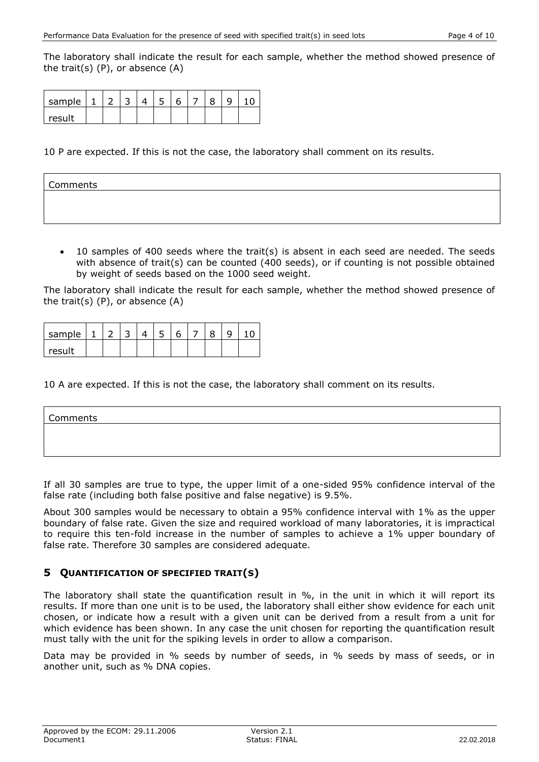The laboratory shall indicate the result for each sample, whether the method showed presence of the trait(s) (P), or absence (A)

| sample |  |  |  |  |  |
|--------|--|--|--|--|--|
| result |  |  |  |  |  |

10 P are expected. If this is not the case, the laboratory shall comment on its results.

| Comments |  |  |  |
|----------|--|--|--|
|          |  |  |  |
|          |  |  |  |

 10 samples of 400 seeds where the trait(s) is absent in each seed are needed. The seeds with absence of trait(s) can be counted (400 seeds), or if counting is not possible obtained by weight of seeds based on the 1000 seed weight.

The laboratory shall indicate the result for each sample, whether the method showed presence of the trait(s)  $(P)$ , or absence  $(A)$ 

| sample |  |  |  |  |  |
|--------|--|--|--|--|--|
| result |  |  |  |  |  |

10 A are expected. If this is not the case, the laboratory shall comment on its results.

| Comments |  |  |
|----------|--|--|
|          |  |  |
|          |  |  |

If all 30 samples are true to type, the upper limit of a one-sided 95% confidence interval of the false rate (including both false positive and false negative) is 9.5%.

About 300 samples would be necessary to obtain a 95% confidence interval with 1% as the upper boundary of false rate. Given the size and required workload of many laboratories, it is impractical to require this ten-fold increase in the number of samples to achieve a 1% upper boundary of false rate. Therefore 30 samples are considered adequate.

#### **5 QUANTIFICATION OF SPECIFIED TRAIT(S)**

The laboratory shall state the quantification result in %, in the unit in which it will report its results. If more than one unit is to be used, the laboratory shall either show evidence for each unit chosen, or indicate how a result with a given unit can be derived from a result from a unit for which evidence has been shown. In any case the unit chosen for reporting the quantification result must tally with the unit for the spiking levels in order to allow a comparison.

Data may be provided in % seeds by number of seeds, in % seeds by mass of seeds, or in another unit, such as % DNA copies.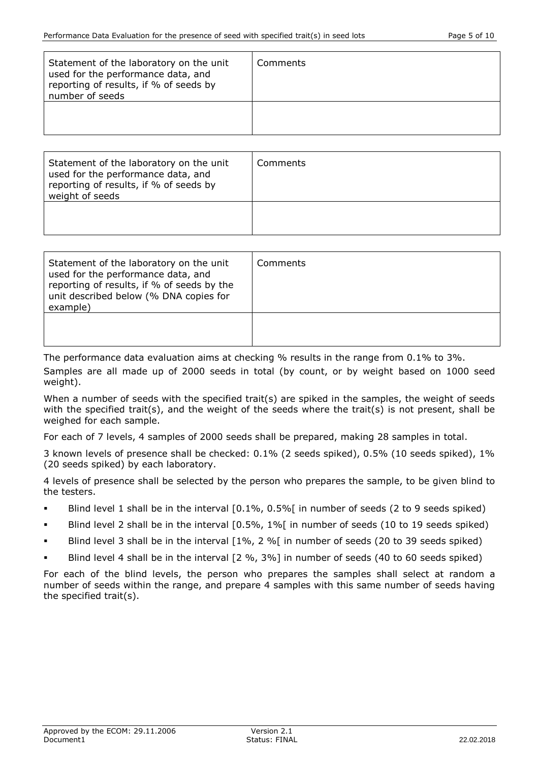| Statement of the laboratory on the unit<br>used for the performance data, and<br>reporting of results, if % of seeds by<br>number of seeds | Comments |
|--------------------------------------------------------------------------------------------------------------------------------------------|----------|
|                                                                                                                                            |          |

| Statement of the laboratory on the unit<br>used for the performance data, and<br>reporting of results, if % of seeds by<br>weight of seeds | Comments |
|--------------------------------------------------------------------------------------------------------------------------------------------|----------|
|                                                                                                                                            |          |

| Statement of the laboratory on the unit<br>used for the performance data, and<br>reporting of results, if % of seeds by the<br>unit described below (% DNA copies for<br>example) | Comments |
|-----------------------------------------------------------------------------------------------------------------------------------------------------------------------------------|----------|
|                                                                                                                                                                                   |          |

The performance data evaluation aims at checking % results in the range from 0.1% to 3%. Samples are all made up of 2000 seeds in total (by count, or by weight based on 1000 seed weight).

When a number of seeds with the specified trait(s) are spiked in the samples, the weight of seeds with the specified trait(s), and the weight of the seeds where the trait(s) is not present, shall be weighed for each sample.

For each of 7 levels, 4 samples of 2000 seeds shall be prepared, making 28 samples in total.

3 known levels of presence shall be checked: 0.1% (2 seeds spiked), 0.5% (10 seeds spiked), 1% (20 seeds spiked) by each laboratory.

4 levels of presence shall be selected by the person who prepares the sample, to be given blind to the testers.

- Blind level 1 shall be in the interval [0.1%, 0.5%[ in number of seeds (2 to 9 seeds spiked)
- Blind level 2 shall be in the interval [0.5%, 1%[ in number of seeds (10 to 19 seeds spiked)
- Blind level 3 shall be in the interval [1%, 2 %] in number of seeds (20 to 39 seeds spiked)
- Blind level 4 shall be in the interval [2 %, 3%] in number of seeds (40 to 60 seeds spiked)

For each of the blind levels, the person who prepares the samples shall select at random a number of seeds within the range, and prepare 4 samples with this same number of seeds having the specified trait(s).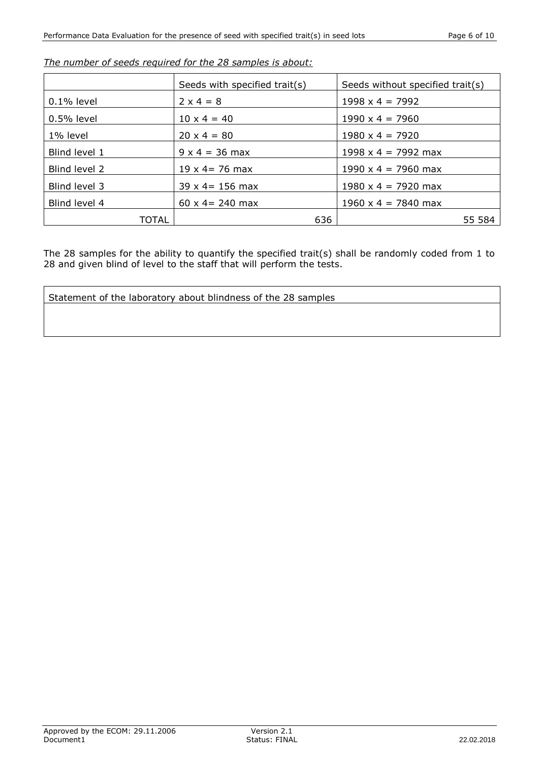|               | Seeds with specified trait(s) | Seeds without specified trait(s) |
|---------------|-------------------------------|----------------------------------|
| $0.1\%$ level | $2 \times 4 = 8$              | $1998 \times 4 = 7992$           |
| $0.5\%$ level | $10 \times 4 = 40$            | $1990 \times 4 = 7960$           |
| 1% level      | $20 \times 4 = 80$            | $1980 \times 4 = 7920$           |
| Blind level 1 | $9 \times 4 = 36$ max         | $1998 \times 4 = 7992$ max       |
| Blind level 2 | $19 \times 4 = 76$ max        | $1990 \times 4 = 7960$ max       |
| Blind level 3 | $39 \times 4 = 156$ max       | $1980 \times 4 = 7920$ max       |
| Blind level 4 | $60 \times 4 = 240$ max       | $1960 \times 4 = 7840$ max       |
| TOTAL         | 636                           | 55 584                           |

*The number of seeds required for the 28 samples is about:*

The 28 samples for the ability to quantify the specified trait(s) shall be randomly coded from 1 to 28 and given blind of level to the staff that will perform the tests.

```
Statement of the laboratory about blindness of the 28 samples
```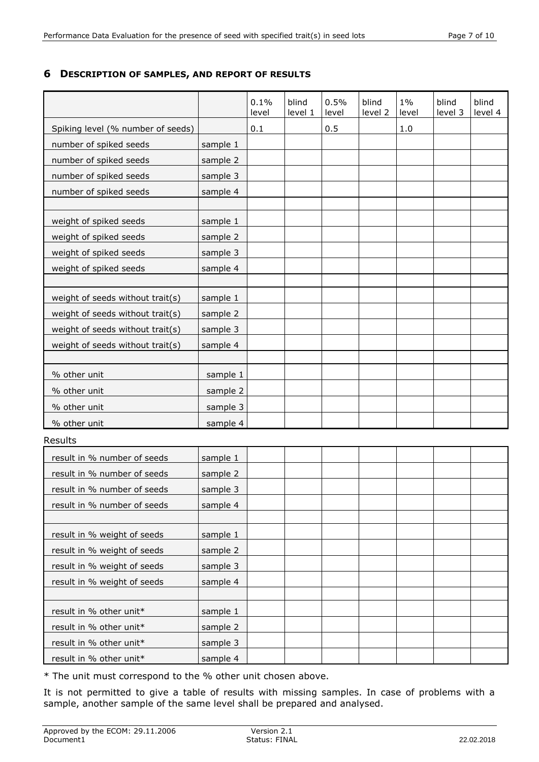#### **6 DESCRIPTION OF SAMPLES, AND REPORT OF RESULTS**

|                                   |          | 0.1%<br>level | blind<br>level 1 | 0.5%<br>level | blind<br>level 2 | $1\%$<br>level | blind<br>level 3 | blind<br>level 4 |
|-----------------------------------|----------|---------------|------------------|---------------|------------------|----------------|------------------|------------------|
| Spiking level (% number of seeds) |          | 0.1           |                  | 0.5           |                  | 1.0            |                  |                  |
| number of spiked seeds            | sample 1 |               |                  |               |                  |                |                  |                  |
| number of spiked seeds            | sample 2 |               |                  |               |                  |                |                  |                  |
| number of spiked seeds            | sample 3 |               |                  |               |                  |                |                  |                  |
| number of spiked seeds            | sample 4 |               |                  |               |                  |                |                  |                  |
|                                   |          |               |                  |               |                  |                |                  |                  |
| weight of spiked seeds            | sample 1 |               |                  |               |                  |                |                  |                  |
| weight of spiked seeds            | sample 2 |               |                  |               |                  |                |                  |                  |
| weight of spiked seeds            | sample 3 |               |                  |               |                  |                |                  |                  |
| weight of spiked seeds            | sample 4 |               |                  |               |                  |                |                  |                  |
|                                   |          |               |                  |               |                  |                |                  |                  |
| weight of seeds without trait(s)  | sample 1 |               |                  |               |                  |                |                  |                  |
| weight of seeds without trait(s)  | sample 2 |               |                  |               |                  |                |                  |                  |
| weight of seeds without trait(s)  | sample 3 |               |                  |               |                  |                |                  |                  |
| weight of seeds without trait(s)  | sample 4 |               |                  |               |                  |                |                  |                  |
|                                   |          |               |                  |               |                  |                |                  |                  |
| % other unit                      | sample 1 |               |                  |               |                  |                |                  |                  |
| % other unit                      | sample 2 |               |                  |               |                  |                |                  |                  |
| % other unit                      | sample 3 |               |                  |               |                  |                |                  |                  |
| % other unit                      | sample 4 |               |                  |               |                  |                |                  |                  |
| Results                           |          |               |                  |               |                  |                |                  |                  |
| result in % number of seeds       | sample 1 |               |                  |               |                  |                |                  |                  |
| result in % number of seeds       | sample 2 |               |                  |               |                  |                |                  |                  |
| result in % number of seeds       | sample 3 |               |                  |               |                  |                |                  |                  |
| result in % number of seeds       | sample 4 |               |                  |               |                  |                |                  |                  |
|                                   |          |               |                  |               |                  |                |                  |                  |
| result in % weight of seeds       | sample 1 |               |                  |               |                  |                |                  |                  |
| result in % weight of seeds       | sample 2 |               |                  |               |                  |                |                  |                  |
| result in % weight of seeds       | sample 3 |               |                  |               |                  |                |                  |                  |
| result in % weight of seeds       | sample 4 |               |                  |               |                  |                |                  |                  |
|                                   |          |               |                  |               |                  |                |                  |                  |
| result in % other unit*           | sample 1 |               |                  |               |                  |                |                  |                  |
| result in % other unit*           | sample 2 |               |                  |               |                  |                |                  |                  |
| result in % other unit*           | sample 3 |               |                  |               |                  |                |                  |                  |
| result in % other unit*           | sample 4 |               |                  |               |                  |                |                  |                  |

\* The unit must correspond to the % other unit chosen above.

It is not permitted to give a table of results with missing samples. In case of problems with a sample, another sample of the same level shall be prepared and analysed.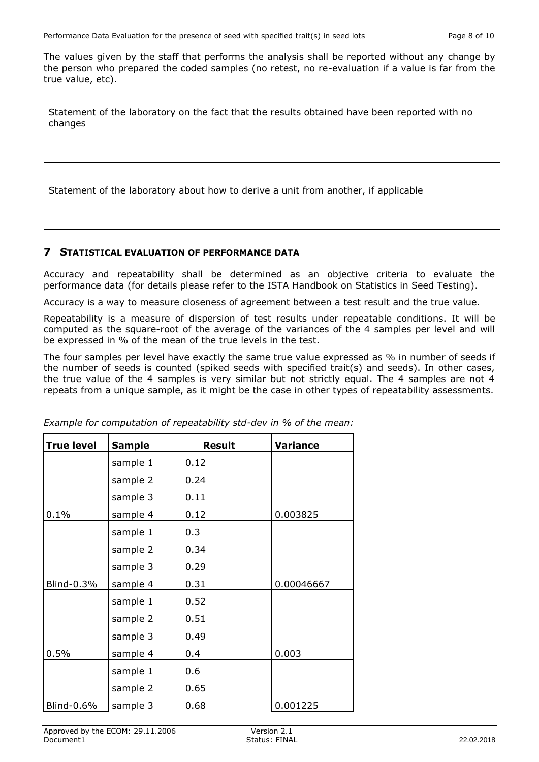The values given by the staff that performs the analysis shall be reported without any change by the person who prepared the coded samples (no retest, no re-evaluation if a value is far from the true value, etc).

Statement of the laboratory on the fact that the results obtained have been reported with no changes

Statement of the laboratory about how to derive a unit from another, if applicable

#### **7 STATISTICAL EVALUATION OF PERFORMANCE DATA**

Accuracy and repeatability shall be determined as an objective criteria to evaluate the performance data (for details please refer to the ISTA Handbook on Statistics in Seed Testing).

Accuracy is a way to measure closeness of agreement between a test result and the true value.

Repeatability is a measure of dispersion of test results under repeatable conditions. It will be computed as the square-root of the average of the variances of the 4 samples per level and will be expressed in % of the mean of the true levels in the test.

The four samples per level have exactly the same true value expressed as % in number of seeds if the number of seeds is counted (spiked seeds with specified trait(s) and seeds). In other cases, the true value of the 4 samples is very similar but not strictly equal. The 4 samples are not 4 repeats from a unique sample, as it might be the case in other types of repeatability assessments.

| <b>True level</b> | <b>Sample</b> | <b>Result</b> | <b>Variance</b> |
|-------------------|---------------|---------------|-----------------|
|                   | sample 1      | 0.12          |                 |
|                   | sample 2      | 0.24          |                 |
|                   | sample 3      | 0.11          |                 |
| 0.1%              | sample 4      | 0.12          | 0.003825        |
|                   | sample 1      | 0.3           |                 |
|                   | sample 2      | 0.34          |                 |
|                   | sample 3      | 0.29          |                 |
| Blind-0.3%        | sample 4      | 0.31          | 0.00046667      |
|                   | sample 1      | 0.52          |                 |
|                   | sample 2      | 0.51          |                 |
|                   | sample 3      | 0.49          |                 |
| 0.5%              | sample 4      | 0.4           | 0.003           |
|                   | sample 1      | 0.6           |                 |
|                   | sample 2      | 0.65          |                 |
| Blind-0.6%        | sample 3      | 0.68          | 0.001225        |

*Example for computation of repeatability std-dev in % of the mean:*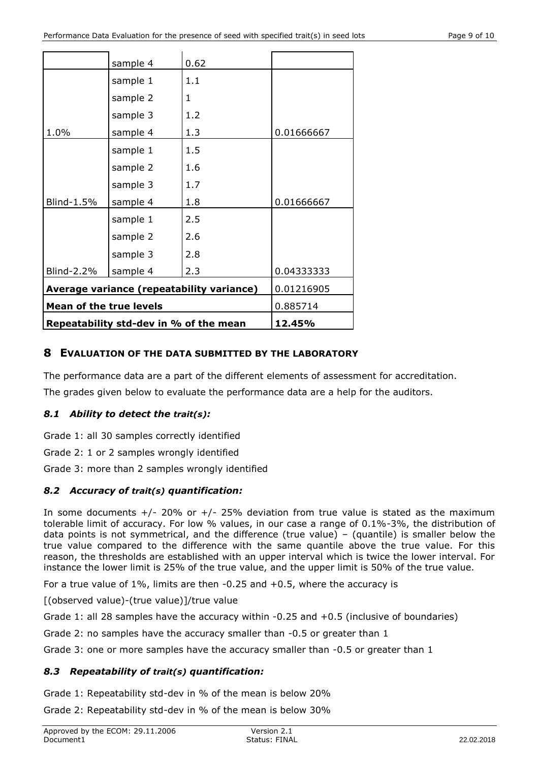|                                           |          |      | 0.885714   |
|-------------------------------------------|----------|------|------------|
| <b>Mean of the true levels</b>            |          |      |            |
| Average variance (repeatability variance) |          |      | 0.01216905 |
| Blind-2.2%                                | sample 4 | 2.3  | 0.04333333 |
|                                           | sample 3 | 2.8  |            |
|                                           | sample 2 | 2.6  |            |
|                                           | sample 1 | 2.5  |            |
| Blind-1.5%                                | sample 4 | 1.8  | 0.01666667 |
|                                           | sample 3 | 1.7  |            |
|                                           | sample 2 | 1.6  |            |
|                                           | sample 1 | 1.5  |            |
| 1.0%                                      | sample 4 | 1.3  | 0.01666667 |
|                                           | sample 3 | 1.2  |            |
|                                           | sample 2 | 1    |            |
|                                           | sample 1 | 1.1  |            |
|                                           | sample 4 | 0.62 |            |

# **8 EVALUATION OF THE DATA SUBMITTED BY THE LABORATORY**

The performance data are a part of the different elements of assessment for accreditation.

The grades given below to evaluate the performance data are a help for the auditors.

# *8.1 Ability to detect the trait(s):*

Grade 1: all 30 samples correctly identified

Grade 2: 1 or 2 samples wrongly identified

Grade 3: more than 2 samples wrongly identified

## *8.2 Accuracy of trait(s) quantification:*

In some documents  $+/- 20\%$  or  $+/- 25\%$  deviation from true value is stated as the maximum tolerable limit of accuracy. For low % values, in our case a range of 0.1%-3%, the distribution of data points is not symmetrical, and the difference (true value) – (quantile) is smaller below the true value compared to the difference with the same quantile above the true value. For this reason, the thresholds are established with an upper interval which is twice the lower interval. For instance the lower limit is 25% of the true value, and the upper limit is 50% of the true value.

For a true value of 1%, limits are then -0.25 and +0.5, where the accuracy is

[(observed value)-(true value)]/true value

Grade 1: all 28 samples have the accuracy within -0.25 and +0.5 (inclusive of boundaries)

Grade 2: no samples have the accuracy smaller than -0.5 or greater than 1

Grade 3: one or more samples have the accuracy smaller than -0.5 or greater than 1

## *8.3 Repeatability of trait(s) quantification:*

Grade 1: Repeatability std-dev in % of the mean is below 20%

Grade 2: Repeatability std-dev in % of the mean is below 30%